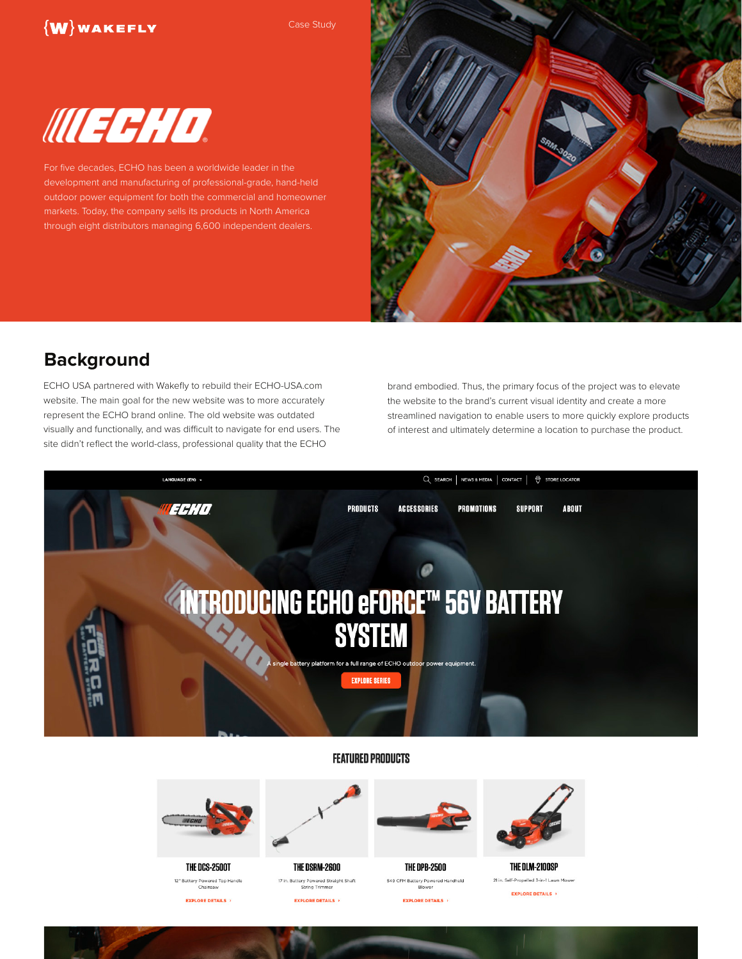## $\{W\}$ WAKEFLY

Case Study



For five decades, ECHO has been a worldwide leader in the development and manufacturing of professional-grade, hand-held outdoor power equipment for both the commercial and homeowner markets. Today, the company sells its products in North America through eight distributors managing 6,600 independent dealers.



# **Background**

ECHO USA partnered with Wakefly to rebuild their ECHO-USA.com website. The main goal for the new website was to more accurately represent the ECHO brand online. The old website was outdated visually and functionally, and was difficult to navigate for end users. The site didn't reflect the world-class, professional quality that the ECHO

brand embodied. Thus, the primary focus of the project was to elevate the website to the brand's current visual identity and create a more streamlined navigation to enable users to more quickly explore products of interest and ultimately determine a location to purchase the product.



#### **FEATURED PRODUCTS**



THE DCS-2500T

12" Battery Powered Top Handle<br>Chainsaw **EXPLORE DETAILS** 

THE DSRM-2600

17 in. Battery Powered Straight Shaft<br>String Trimmer

**EXPLORE DETAILS** 



**THE DPB-2500** 549 CFM Battery Powered Handheld

**EXPLORE DETAILS** 



THE DLM-2100SP 21 in. Self-Propelled 3-in-1 Lawn Mower **EXPLORE DETAILS**